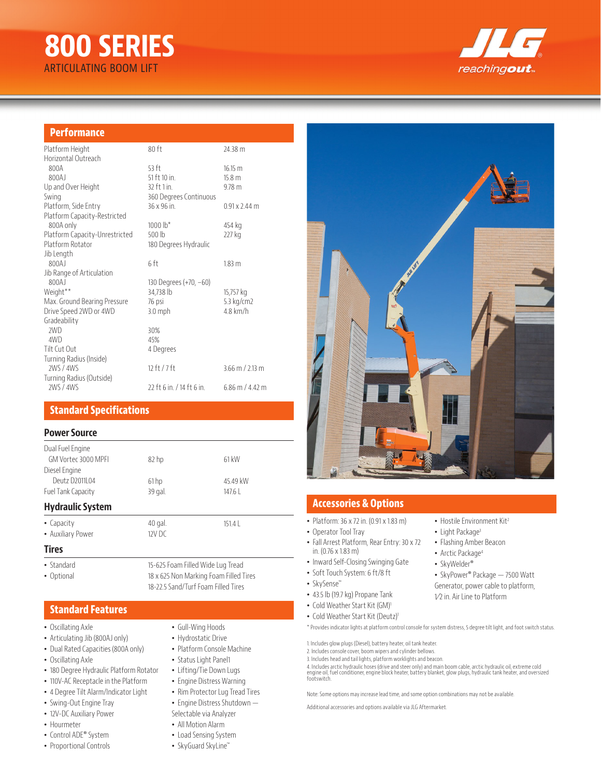# **800 SERIES** ARTICULATING BOOM LIFT



## **Performance**

| Platform Height                | 80ft                    | 24.38 m              |
|--------------------------------|-------------------------|----------------------|
| Horizontal Outreach            |                         |                      |
| 800A                           | $53$ ft                 | 16.15 m              |
| 800AJ                          | 51 ft 10 in.            | 15.8 <sub>m</sub>    |
| Up and Over Height             | 32 ft 1 in.             | $9.78$ m             |
| Swing                          | 360 Degrees Continuous  |                      |
| Platform, Side Entry           | 36 x 96 in.             | $0.91 \times 2.44$ m |
| Platform Capacity-Restricted   |                         |                      |
| 800A only                      | $1000 lb*$              | 454 kg               |
| Platform Capacity-Unrestricted | $500$ lb                | 227 kg               |
| Platform Rotator               | 180 Degrees Hydraulic   |                      |
| Jib Length                     |                         |                      |
| 800AJ                          | 6 ft                    | 1.83 <sub>m</sub>    |
| Jib Range of Articulation      |                         |                      |
| 800AJ                          | 130 Degrees (+70, -60)  |                      |
| Weight <sup>**</sup>           | 34,738 lb               | 15,757 kg            |
| Max. Ground Bearing Pressure   | 76 psi                  | 5.3 kg/cm2           |
| Drive Speed 2WD or 4WD         | $3.0$ mph               | $4.8$ km/h           |
| Gradeability                   |                         |                      |
| 2WD                            | 30%                     |                      |
| 4WD                            | 45%                     |                      |
| Tilt Cut Out                   | 4 Degrees               |                      |
| Turning Radius (Inside)        |                         |                      |
| 2WS / 4WS                      | 12 ft / 7 ft            | 3.66 m / 2.13 m      |
| Turning Radius (Outside)       |                         |                      |
| 2WS / 4WS                      | 22 ft 6 in / 14 ft 6 in | $6.86$ m / 4.42 m    |
|                                |                         |                      |

## **Standard Specifications**

#### **Power Source**

| Dual Fuel Engine          |                                        |                                   |  |
|---------------------------|----------------------------------------|-----------------------------------|--|
| GM Vortec 3000 MPFI       | 82 <sub>hp</sub>                       | 61 kW                             |  |
| Diesel Engine             |                                        |                                   |  |
| Deutz D2011 04            | 61 <sub>hp</sub>                       | 45.49 kW                          |  |
| <b>Fuel Tank Capacity</b> | 39 gal.                                | 147.6                             |  |
| <b>Hydraulic System</b>   |                                        |                                   |  |
| • Capacity                | 40 gal.                                | 151.4                             |  |
| • Auxiliary Power         | $12V$ DC                               |                                   |  |
| <b>Tires</b>              |                                        |                                   |  |
| • Standard                |                                        | 15-625 Foam Filled Wide Lug Tread |  |
| • Optional                | 18 x 625 Non Marking Foam Filled Tires |                                   |  |

## **Standard Features**

- Oscillating Axle
- Articulating Jib (800AJ only)
- Dual Rated Capacities (800A only)
- Oscillating Axle
- 180 Degree Hydraulic Platform Rotator
- 110V-AC Receptacle in the Platform
- 4 Degree Tilt Alarm/Indicator Light
- Swing-Out Engine Tray
- 12V-DC Auxiliary Power
- Hourmeter
- Control ADE® System
- Proportional Controls
- Gull-Wing Hoods
- Hydrostatic Drive

18-22.5 Sand/Turf Foam Filled Tires

- Platform Console Machine
- Status Light Panel1
- Lifting/Tie Down Lugs
- Engine Distress Warning
- Rim Protector Lug Tread Tires
- Engine Distress Shutdown —
- Selectable via Analyzer
- All Motion Alarm
- Load Sensing System
- SkyGuard SkyLine™



## **Accessories & Options**

- Platform: 36 x 72 in. (0.91 x 1.83 m)
- Operator Tool Tray
- Fall Arrest Platform, Rear Entry: 30 x 72 in. (0.76 x 1.83 m)
- Inward Self-Closing Swinging Gate
- SkySense™
- 43.5 lb (19.7 kg) Propane Tank
- Cold Weather Start Kit (GM)<sup>1</sup>
- Cold Weather Start Kit (Deutz)<sup>1</sup>

\* Provides indicator lights at platform control console for system distress, 5 degree tilt light, and foot switch status.

1. Includes glow plugs (Diesel), battery heater, oil tank heater.

2. Includes console cover, boom wipers and cylinder bellows.

3. Includes head and tail lights, platform worklights and beacon.

4. Includes arctic hydraulic hoses (drive and steer only) and main boom cable, arctic hydraulic oil, extreme cold<br>engine oil, fuel conditioner, engine block heater, battery blanket, glow plugs, hydraulic tank heater, and o

Note: Some options may increase lead time, and some option combinations may not be available.

Additional accessories and options available via JLG Aftermarket.

• Light Package<sup>3</sup> • Flashing Amber Beacon

• Hostile Environment Kit<sup>2</sup>

- Arctic Package<sup>4</sup>
- SkyWelder®
- SkyPower® Package 7500 Watt Generator, power cable to platform,
- 1⁄2 in. Air Line to Platform
- Soft Touch System: 6 ft/8 ft
- 
- 
-